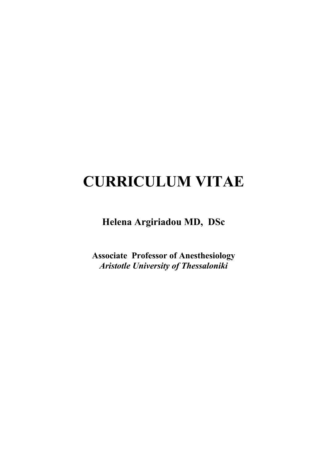# **CURRICULUM VITAE**

**Helena Argiriadou MD, DSc**

**Associate Professor of Anesthesiology** *Aristotle University of Thessaloniki*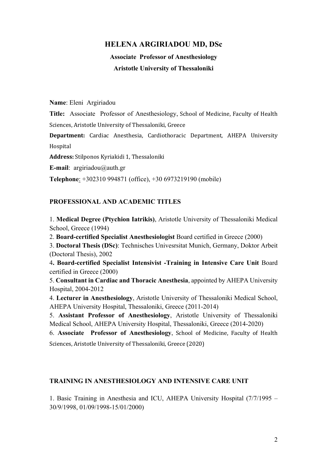# **HELENA ARGIRIADOU MD, DSc**

**Associate Professor of Anesthesiology Aristotle University of Thessaloniki**

**Name**: Eleni Argiriadou

**Title:** Associate Professor of Anesthesiology, School of Medicine, Faculty of Health Sciences, Aristotle University of Thessaloniki, Greece

**Department:** Cardiac Anesthesia, Cardiothoracic Department, AHEPA University Hospital

Address: Stilponos Kyriakidi 1, Thessaloniki

**E-mail**: argiriadou@auth.gr

**Telephone**: +302310 994871 (office), +30 6973219190 (mobile)

## **PROFESSIONAL AND ACADEMIC TITLES**

1. **Medical Degree (Ptychion Iatrikis)**, Aristotle University of Thessaloniki Medical School, Greece (1994)

2. **Board-certified Specialist Anesthesiologist** Board certified in Greece (2000)

3. **Doctoral Thesis (DSc)**: Technisches Univesrsitat Munich, Germany, Doktor Arbeit (Doctoral Thesis), 2002

4**. Board-certified Specialist Intensivist -Training in Intensive Care Unit** Board certified in Greece (2000)

5. **Consultant in Cardiac and Thoracic Anesthesia**, appointed by AHEPA University Hospital, 2004-2012

4. **Lecturer in Anesthesiology**, Aristotle University of Thessaloniki Medical School, AHEPA University Hospital, Thessaloniki, Greece (2011-2014)

5. **Assistant Professor of Anesthesiology**, Aristotle University of Thessaloniki Medical School, AHEPA University Hospital, Thessaloniki, Greece (2014-2020)

6. **Associate Professor of Anesthesiology**, School of Medicine, Faculty of Health Sciences, Aristotle University of Thessaloniki, Greece (2020)

## **TRAINING IN ANESTHESIOLOGY AND INTENSIVE CARE UNIT**

1. Basic Training in Anesthesia and ICU, AHEPA University Hospital (7/7/1995 – 30/9/1998, 01/09/1998-15/01/2000)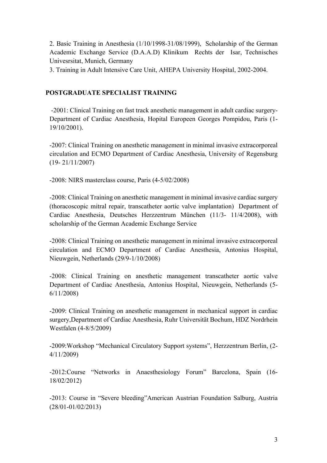2. Basic Training in Anesthesia (1/10/1998-31/08/1999), Scholarship of the German Academic Exchange Service (D.A.A.D) Klinikum Rechts der Isar, Technisches Univesrsitat, Munich, Germany

3. Training in Adult Intensive Care Unit, AHEPA University Hospital, 2002-2004.

## **POSTGRADUATE SPECIALIST TRAINING**

-2001: Clinical Training on fast track anesthetic management in adult cardiac surgery-Department of Cardiac Anesthesia, Hopital Europeen Georges Pompidou, Paris (1- 19/10/2001).

-2007: Clinical Training on anesthetic management in minimal invasive extracorporeal circulation and ECMO Department of Cardiac Anesthesia, University of Regensburg (19- 21/11/2007)

-2008: NIRS masterclass course, Paris (4-5/02/2008)

-2008: Clinical Training on anesthetic management in minimal invasive cardiac surgery (thoracoscopic mitral repair, transcatheter aortic valve implantation) Department of Cardiac Anesthesia, Deutsches Herzzentrum München (11/3- 11/4/2008), with scholarship of the German Academic Exchange Service

-2008: Clinical Training on anesthetic management in minimal invasive extracorporeal circulation and ECMO Department of Cardiac Anesthesia, Antonius Hospital, Nieuwgein, Netherlands (29/9-1/10/2008)

-2008: Clinical Training on anesthetic management transcatheter aortic valve Department of Cardiac Anesthesia, Antonius Hospital, Nieuwgein, Netherlands (5- 6/11/2008)

-2009: Clinical Training on anesthetic management in mechanical support in cardiac surgery,Department of Cardiac Anesthesia, Ruhr Universität Bochum, HDZ Nordrhein Westfalen (4-8/5/2009)

-2009:Workshop "Mechanical Circulatory Support systems", Herzzentrum Berlin, (2- 4/11/2009)

-2012:Course "Networks in Anaesthesiology Forum" Barcelona, Spain (16- 18/02/2012)

-2013: Course in "Severe bleeding"American Austrian Foundation Salburg, Austria (28/01-01/02/2013)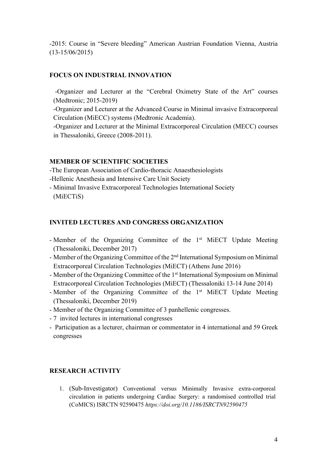-2015: Course in "Severe bleeding" American Austrian Foundation Vienna, Austria (13-15/06/2015)

### **FOCUS ON INDUSTRIAL INNOVATION**

-Organizer and Lecturer at the "Cerebral Oximetry State of the Art" courses (Medtronic; 2015-2019)

-Organizer and Lecturer at the Advanced Course in Minimal invasive Extracorporeal Circulation (MiECC) systems (Medtronic Academia).

-Organizer and Lecturer at the Minimal Extracorporeal Circulation (MECC) courses in Thessaloniki, Greece (2008-2011).

#### **MEMBER OF SCIENTIFIC SOCIETIES**

-The European Association of Cardio-thoracic Anaesthesiologists -Hellenic Anesthesia and Intensive Care Unit Society

- Minimal Invasive Extracorporeal Technologies International Society (MiECTiS)

#### **INVITED LECTURES AND CONGRESS ORGANIZATION**

- Member of the Organizing Committee of the 1<sup>st</sup> MiECT Update Meeting (Thessaloniki, December 2017)
- Member of the Organizing Committee of the 2nd International Symposium on Minimal Extracorporeal Circulation Technologies (MiECT) (Athens June 2016)
- Member of the Organizing Committee of the 1<sup>st</sup> International Symposium on Minimal Extracorporeal Circulation Technologies (MiECT) (Thessaloniki 13-14 June 2014)
- Member of the Organizing Committee of the 1<sup>st</sup> MiECT Update Meeting (Thessaloniki, December 2019)
- Member of the Organizing Committee of 3 panhellenic congresses.
- 7 invited lectures in international congresses
- Participation as a lecturer, chairman or commentator in 4 international and 59 Greek congresses

## **RESEARCH ACTIVITY**

1. (Sub-Investigator) Conventional versus Minimally Invasive extra-corporeal circulation in patients undergoing Cardiac Surgery: a randomised controlled trial (CoMICS) ISRCTN 92590475 *https://doi.org/10.1186/ISRCTN92590475*